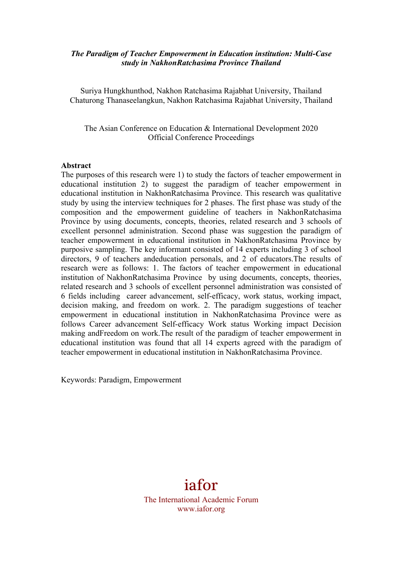### *The Paradigm of Teacher Empowerment in Education institution: Multi***-***Case study in NakhonRatchasima Province Thailand*

Suriya Hungkhunthod, Nakhon Ratchasima Rajabhat University, Thailand Chaturong Thanaseelangkun, Nakhon Ratchasima Rajabhat University, Thailand

The Asian Conference on Education & International Development 2020 Official Conference Proceedings

#### **Abstract**

The purposes of this research were 1) to study the factors of teacher empowerment in educational institution 2) to suggest the paradigm of teacher empowerment in educational institution in NakhonRatchasima Province. This research was qualitative study by using the interview techniques for 2 phases. The first phase was study of the composition and the empowerment guideline of teachers in NakhonRatchasima Province by using documents, concepts, theories, related research and 3 schools of excellent personnel administration. Second phase was suggestion the paradigm of teacher empowerment in educational institution in NakhonRatchasima Province by purposive sampling. The key informant consisted of 14 experts including 3 of school directors, 9 of teachers andeducation personals, and 2 of educators.The results of research were as follows: 1. The factors of teacher empowerment in educational institution of NakhonRatchasima Province by using documents, concepts, theories, related research and 3 schools of excellent personnel administration was consisted of 6 fields including career advancement, self-efficacy, work status, working impact, decision making, and freedom on work. 2. The paradigm suggestions of teacher empowerment in educational institution in NakhonRatchasima Province were as follows Career advancement Self-efficacy Work status Working impact Decision making andFreedom on work.The result of the paradigm of teacher empowerment in educational institution was found that all 14 experts agreed with the paradigm of teacher empowerment in educational institution in NakhonRatchasima Province.

Keywords: Paradigm, Empowerment

# iafor

The International Academic Forum www.iafor.org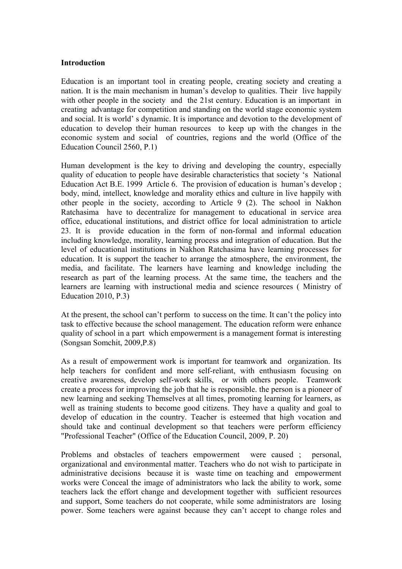#### **Introduction**

Education is an important tool in creating people, creating society and creating a nation. It is the main mechanism in human's develop to qualities. Their live happily with other people in the society and the 21st century. Education is an important in creating advantage for competition and standing on the world stage economic system and social. It is world' s dynamic. It is importance and devotion to the development of education to develop their human resources to keep up with the changes in the economic system and social of countries, regions and the world (Office of the Education Council 2560, P.1)

Human development is the key to driving and developing the country, especially quality of education to people have desirable characteristics that society 's National Education Act B.E. 1999 Article 6. The provision of education is human's develop ; body, mind, intellect, knowledge and morality ethics and culture in live happily with other people in the society, according to Article 9 (2). The school in Nakhon Ratchasima have to decentralize for management to educational in service area office, educational institutions, and district office for local administration to article 23. It is provide education in the form of non-formal and informal education including knowledge, morality, learning process and integration of education. But the level of educational institutions in Nakhon Ratchasima have learning processes for education. It is support the teacher to arrange the atmosphere, the environment, the media, and facilitate. The learners have learning and knowledge including the research as part of the learning process. At the same time, the teachers and the learners are learning with instructional media and science resources ( Ministry of Education 2010, P.3)

At the present, the school can't perform to success on the time. It can't the policy into task to effective because the school management. The education reform were enhance quality of school in a part which empowerment is a management format is interesting (Songsan Somchit, 2009,P.8)

As a result of empowerment work is important for teamwork and organization. Its help teachers for confident and more self-reliant, with enthusiasm focusing on creative awareness, develop self-work skills, or with others people. Teamwork create a process for improving the job that he is responsible. the person is a pioneer of new learning and seeking Themselves at all times, promoting learning for learners, as well as training students to become good citizens. They have a quality and goal to develop of education in the country. Teacher is esteemed that high vocation and should take and continual development so that teachers were perform efficiency "Professional Teacher" (Office of the Education Council, 2009, P. 20)

Problems and obstacles of teachers empowerment were caused ; personal, organizational and environmental matter. Teachers who do not wish to participate in administrative decisions because it is waste time on teaching and empowerment works were Conceal the image of administrators who lack the ability to work, some teachers lack the effort change and development together with sufficient resources and support, Some teachers do not cooperate, while some administrators are losing power. Some teachers were against because they can't accept to change roles and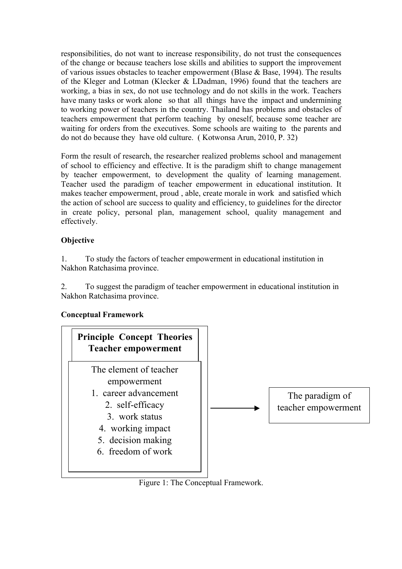responsibilities, do not want to increase responsibility, do not trust the consequences of the change or because teachers lose skills and abilities to support the improvement of various issues obstacles to teacher empowerment (Blase & Base, 1994). The results of the Kleger and Lotman (Klecker & LDadman, 1996) found that the teachers are working, a bias in sex, do not use technology and do not skills in the work. Teachers have many tasks or work alone so that all things have the impact and undermining to working power of teachers in the country. Thailand has problems and obstacles of teachers empowerment that perform teaching by oneself, because some teacher are waiting for orders from the executives. Some schools are waiting to the parents and do not do because they have old culture. ( Kotwonsa Arun, 2010, P. 32)

Form the result of research, the researcher realized problems school and management of school to efficiency and effective. It is the paradigm shift to change management by teacher empowerment, to development the quality of learning management. Teacher used the paradigm of teacher empowerment in educational institution. It makes teacher empowerment, proud , able, create morale in work and satisfied which the action of school are success to quality and efficiency, to guidelines for the director in create policy, personal plan, management school, quality management and effectively.

## **Objective**

1. To study the factors of teacher empowerment in educational institution in Nakhon Ratchasima province.

2. To suggest the paradigm of teacher empowerment in educational institution in Nakhon Ratchasima province.

## **Conceptual Framework**



Figure 1: The Conceptual Framework.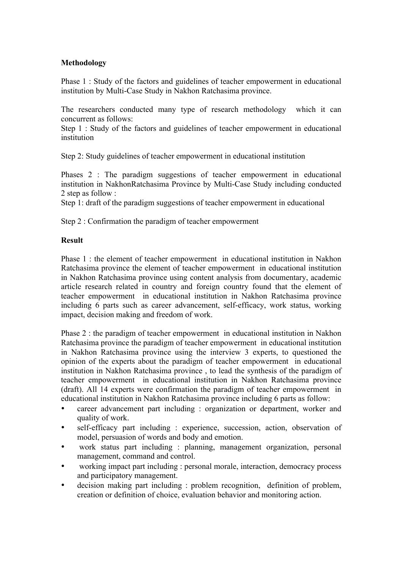## **Methodology**

Phase 1 : Study of the factors and guidelines of teacher empowerment in educational institution by Multi-Case Study in Nakhon Ratchasima province.

The researchers conducted many type of research methodology which it can concurrent as follows:

Step 1 : Study of the factors and guidelines of teacher empowerment in educational institution

Step 2: Study guidelines of teacher empowerment in educational institution

Phases 2 : The paradigm suggestions of teacher empowerment in educational institution in NakhonRatchasima Province by Multi-Case Study including conducted 2 step as follow :

Step 1: draft of the paradigm suggestions of teacher empowerment in educational

Step 2 : Confirmation the paradigm of teacher empowerment

### **Result**

Phase 1 : the element of teacher empowerment in educational institution in Nakhon Ratchasima province the element of teacher empowerment in educational institution in Nakhon Ratchasima province using content analysis from documentary, academic article research related in country and foreign country found that the element of teacher empowerment in educational institution in Nakhon Ratchasima province including 6 parts such as career advancement, self-efficacy, work status, working impact, decision making and freedom of work.

Phase 2 : the paradigm of teacher empowerment in educational institution in Nakhon Ratchasima province the paradigm of teacher empowerment in educational institution in Nakhon Ratchasima province using the interview 3 experts, to questioned the opinion of the experts about the paradigm of teacher empowerment in educational institution in Nakhon Ratchasima province , to lead the synthesis of the paradigm of teacher empowerment in educational institution in Nakhon Ratchasima province (draft). All 14 experts were confirmation the paradigm of teacher empowerment in educational institution in Nakhon Ratchasima province including 6 parts as follow:

- career advancement part including : organization or department, worker and quality of work.
- self-efficacy part including : experience, succession, action, observation of model, persuasion of words and body and emotion.
- work status part including : planning, management organization, personal management, command and control.
- working impact part including : personal morale, interaction, democracy process and participatory management.
- decision making part including : problem recognition, definition of problem, creation or definition of choice, evaluation behavior and monitoring action.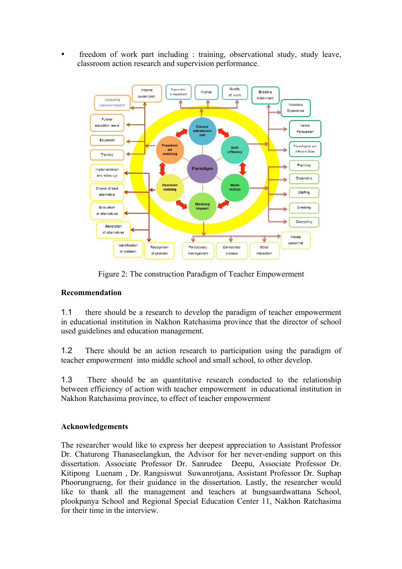• freedom of work part including : training, observational study, study leave, classroom action research and supervision performance.



Figure 2: The construction Paradigm of Teacher Empowerment

## **Recommendation**

1.1 there should be a research to develop the paradigm of teacher empowerment in educational institution in Nakhon Ratchasima province that the director of school used guidelines and education management.

1.2 There should be an action research to participation using the paradigm of teacher empowerment into middle school and small school, to other develop.

1.3 There should be an quantitative research conducted to the relationship between efficiency of action with teacher empowerment in educational institution in Nakhon Ratchasima province, to effect of teacher empowerment

## **Acknowledgements**

The researcher would like to express her deepest appreciation to Assistant Professor Dr. Chaturong Thanaseelangkun, the Advisor for her never-ending support on this dissertation. Associate Professor Dr. Sanrudee Deepu, Associate Professor Dr. Kitipong Luenam , Dr. Rangsiswut Suwanrotjana, Assistant Professor Dr. Suphap Phoorungrueng, for their guidance in the dissertation. Lastly, the researcher would like to thank all the management and teachers at bungsaardwattana School, plookpanya School and Regional Special Education Center 11, Nakhon Ratchasima for their time in the interview.